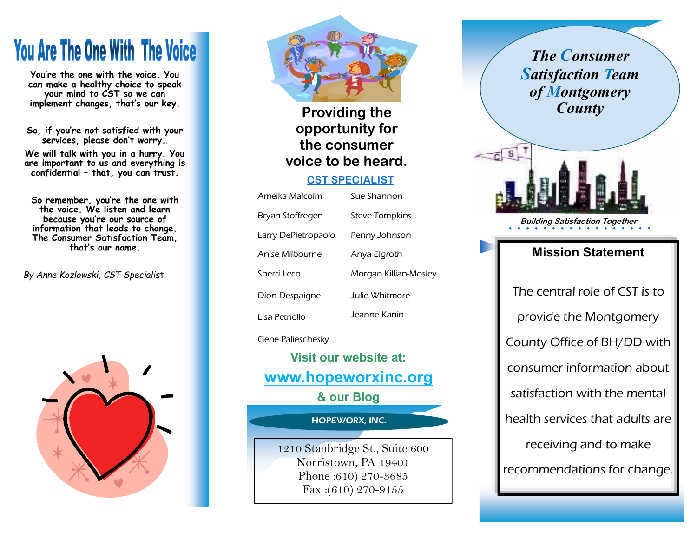# **You Are The One With The Voice**

**You're the one with the voice. You can make a healthy choice to speak your mind to CST so we can implement changes, that's our key.**

**So, if you're not satisfied with your services, please don't worry…**

**We will talk with you in a hurry. You are important to us and everything is confidential – that, you can trust.**

**So remember, you're the one with the voice. We listen and learn because you're our source of information that leads to change. The Consumer Satisfaction Team, that's our name.**

*By Anne Kozlowski, CST Speciali*st





### **Providing the opportunity for the consumer voice to be heard.**

#### **CST SPECIALIST**

| Ameika Malcolm      | Sue Shannon           |
|---------------------|-----------------------|
| Bryan Stoffregen    | <b>Steve Tompkins</b> |
| Larry DePietropaolo | Penny Johnson         |
| Anise Milbourne     | Anya Elgroth          |
| Sherri Leco         | Morgan Killian-Mosley |
| Dion Despaigne      | Julie Whitmore        |
| Lisa Petriello      | Jeanne Kanin          |

Gene Palieschesky

# **Visit our website at:**

# **[www.hopeworxinc.org](http://www.cstmont.com/)**

**& our Blog**

HOPEWORX, INC.

1210 Stanbridge St., Suite 600 Norristown, PA 19401 Phone :610) 270-3685 Fax :(610) 270-9155

*The Consumer Satisfaction Team of Montgomery County*



**Building Satisfaction Together**

#### **Mission Statement**

The central role of CST is to provide the Montgomery County Office of BH/DD with consumer information about satisfaction with the mental health services that adults are receiving and to make recommendations for change.